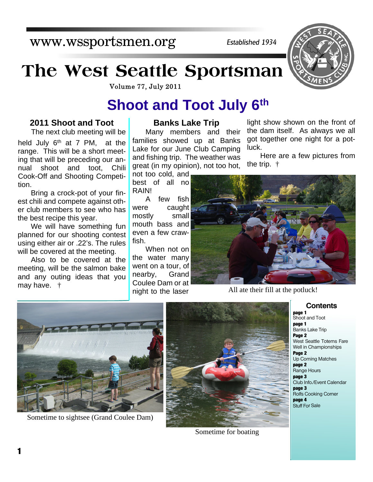www.wssportsmen.org

*Established 1934*

# **The West Seattle Sportsman**

Volume 77, July 2011

## **Shoot and Toot July 6th**

#### **2011 Shoot and Toot**

The next club meeting will be held July  $6<sup>th</sup>$  at 7 PM, at the range. This will be a short meeting that will be preceding our annual shoot and toot, Chili Cook-Off and Shooting Competition.

Bring a crock-pot of your finest chili and compete against other club members to see who has the best recipe this year.

We will have something fun planned for our shooting contest using either air or .22's. The rules will be covered at the meeting.

Also to be covered at the meeting, will be the salmon bake and any outing ideas that you may have. †

#### **Banks Lake Trip**

Many members and their families showed up at Banks Lake for our June Club Camping and fishing trip. The weather was great (in my opinion), not too hot,

not too cold, and best of all no RAIN!

A few fish were caught mostly small mouth bass and even a few crawfish.

When not on the water many went on a tour, of nearby, Grand Coulee Dam or at night to the laser

light show shown on the front of the dam itself. As always we all got together one night for a potluck.

Here are a few pictures from the trip. †



All ate their fill at the potluck!



Sometime to sightsee (Grand Coulee Dam)



Sometime for boating

**Contents**

**page 1** Shoot and Toot **page 1** Banks Lake Trip **Page 2** West Seattle Totems Fare Well in Championships **Page 2** Up Coming Matches **page 2** Range Hours **page 3** Club Info./Event Calendar **page 3** Rolfs Cooking Corner **page 4** Stuff For Sale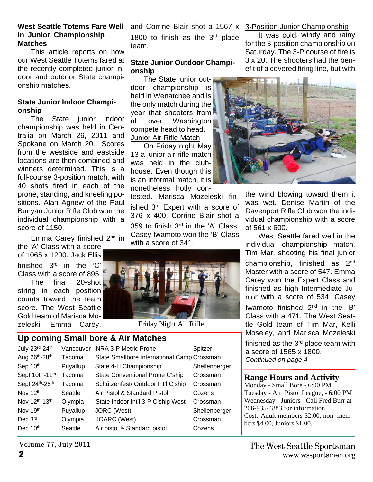#### **West Seattle Totems Fare Well in Junior Championship Matches**

This article reports on how our West Seattle Totems fared at the recently completed junior indoor and outdoor State championship matches.

#### **State Junior Indoor Championship**

The State junior indoor championship was held in Centralia on March 26, 2011 and Spokane on March 20. Scores from the westside and eastside locations are then combined and winners determined. This is a full-course 3-position match, with 40 shots fired in each of the prone, standing, and kneeling positions. Alan Agnew of the Paul Bunyan Junior Rifle Club won the individual championship with a score of 1150.

Emma Carey finished 2nd in

the 'A' Class with a score of 1065 x 1200. Jack Ellis finished 3rd in the 'C'

Class with a score of 895. The final 20-shot

string in each position counts toward the team score. The West Seattle Gold team of Marisca Mozeleski, Emma Carey,

1800 to finish as the  $3<sup>rd</sup>$  place team.

#### **State Junior Outdoor Championship**

The State junior outdoor championship is held in Wenatchee and is the only match during the year that shooters from all over Washington compete head to head. Junior Air Rifle Match

On Friday night May 13 a junior air rifle match was held in the clubhouse. Even though this is an informal match, it is nonetheless hotly con-

tested. Marisca Mozeleski finished 3rd Expert with a score of 376 x 400. Corrine Blair shot a 359 to finish 3rd in the 'A' Class. Casey Iwamoto won the 'B' Class with a score of 341.



Friday Night Air Rifle

### **Up coming Small bore & Air Matches**

| July 23rd-24th                          | Vancouver | NRA 3-P Metric Prone                        | Spitzer       |
|-----------------------------------------|-----------|---------------------------------------------|---------------|
| Aug 26 <sup>th</sup> -28 <sup>th</sup>  | Tacoma    | State Smallbore International Camp Crossman |               |
| Sep 10 <sup>th</sup>                    | Puyallup  | State 4-H Championship                      | Shellenberger |
| Sept 10th-11 <sup>th</sup>              | Tacoma    | State Conventional Prone C'ship             | Crossman      |
| Sept 24 <sup>th</sup> -25 <sup>th</sup> | Tacoma    | Schützenfest/ Outdoor Int'l C'ship          | Crossman      |
| Nov 12 <sup>th</sup>                    | Seattle   | Air Pistol & Standard Pistol                | Cozens        |
| Nov 12 <sup>th</sup> -13 <sup>th</sup>  | Olympia   | State Indoor Int'l 3-P C'ship West          | Crossman      |
| Nov 19 <sup>th</sup>                    | Puyallup  | JORC (West)                                 | Shellenberger |
| Dec 3rd                                 | Olympia   | JOARC (West)                                | Crossman      |
| Dec 10 <sup>th</sup>                    | Seattle   | Air pistol & Standard pistol                | Cozens        |

#### and Corrine Blair shot a 1567 x 3-Position Junior Championship

It was cold, windy and rainy for the 3-position championship on Saturday. The 3-P course of fire is 3 x 20. The shooters had the benefit of a covered firing line, but with



the wind blowing toward them it was wet. Denise Martin of the Davenport Rifle Club won the individual championship with a score of 561 x 600.

West Seattle fared well in the individual championship match. Tim Mar, shooting his final junior championship, finished as 2nd Master with a score of 547. Emma Carey won the Expert Class and finished as high Intermediate Junior with a score of 534. Casey Iwamoto finished 2nd in the 'B' Class with a 471. The West Seattle Gold team of Tim Mar, Kelli Moseley, and Marisca Mozeleski finished as the 3rd place team with

a score of 1565 x 1800. *Continued on page 4*

#### **Range Hours and Activity**

Monday - Small Bore - 6:00 PM, Tuesday - Air Pistol League, - 6:00 PM Wednesday - Juniors - Call Fred Burr at 206-935-4883 for information. Cost: Adult members \$2.00, non- members \$4.00, Juniors \$1.00.

Volume 77, July 2011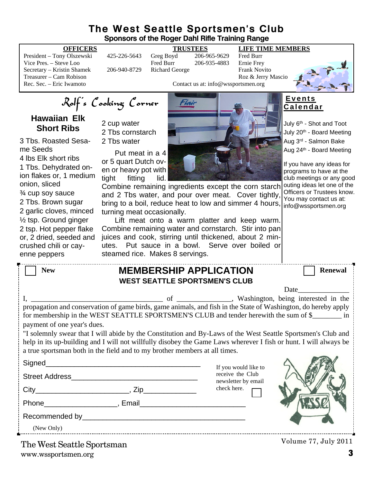#### **The West Seattle Sportsmen's Club Sponsors of the Roger Dahl Rifle Training Range**

President – Tony Olszewski 425-226-5643 Greg Boyd 206-965-9629 Fred Burr Vice Pres. – Steve Loo Fred Burr 206-935-4883 Secretary – Kristin Shamek 206-940-8729 Richard George Frank Novito Treasurer – Cam Robison Roz & Jerry Mascio

**OFFICERS TRUSTEES LIFE TIME MEMBERS**

Contact us at: info@wssportsmen.org



Rolf's Cooking Corner

**Hawaiian Elk Short Ribs**

3 Tbs. Roasted Sesame Seeds 4 lbs Elk short ribs 1 Tbs. Dehydrated onion flakes or, 1 medium onion, sliced ¾ cup soy sauce 2 Tbs. Brown sugar 2 garlic cloves, minced ½ tsp. Ground ginger 2 tsp. Hot pepper flake or, 2 dried, seeded and crushed chili or cayenne peppers

2 cup water 2 Tbs cornstarch

2 Tbs water

Put meat in a 4 or 5 quart Dutch oven or heavy pot with tight fitting lid.

Combine remaining ingredients except the corn starch and 2 Tbs water, and pour over meat. Cover tightly, bring to a boil, reduce heat to low and simmer 4 hours, turning meat occasionally.

Lift meat onto a warm platter and keep warm. Combine remaining water and cornstarch. Stir into pan juices and cook, stirring until thickened, about 2 minutes. Put sauce in a bowl. Serve over boiled or steamed rice. Makes 8 servings.

#### **E v e n t s C a l e n d a r**

July 6<sup>th</sup> - Shot and Toot July 20<sup>th</sup> - Board Meeting Aug 3rd - Salmon Bake Aug 24<sup>th</sup> - Board Meeting

If you have any ideas for programs to have at the club meetings or any good outing ideas let one of the Officers or Trustees know. You may contact us at: info@wssportsmen.org

| <b>MEMBERSHIP APPLICATION</b><br><b>New</b><br><b>WEST SEATTLE SPORTSMEN'S CLUB</b>                                                                                                                                                                                                                                                                                                                                                               |                                         | <b>Renewal</b>       |  |  |  |
|---------------------------------------------------------------------------------------------------------------------------------------------------------------------------------------------------------------------------------------------------------------------------------------------------------------------------------------------------------------------------------------------------------------------------------------------------|-----------------------------------------|----------------------|--|--|--|
|                                                                                                                                                                                                                                                                                                                                                                                                                                                   |                                         |                      |  |  |  |
| for membership in the WEST SEATTLE SPORTSMEN'S CLUB and tender herewith the sum of \$________ in<br>payment of one year's dues.<br>"I solemnly swear that I will abide by the Constitution and By-Laws of the West Seattle Sportsmen's Club and<br>help in its up-building and I will not willfully disobey the Game Laws wherever I fish or hunt. I will always be<br>a true sportsman both in the field and to my brother members at all times. |                                         |                      |  |  |  |
|                                                                                                                                                                                                                                                                                                                                                                                                                                                   | If you would like to                    |                      |  |  |  |
| Street Address and the street Address and the street Address                                                                                                                                                                                                                                                                                                                                                                                      | receive the Club<br>newsletter by email |                      |  |  |  |
|                                                                                                                                                                                                                                                                                                                                                                                                                                                   | check here.                             |                      |  |  |  |
| Phone Reserves and Phone Reserves and Phone Reserves and Phone Reserves and Phone Reserves and Phone Reserves and Phone Reserves and Phone Reserves and Phone Reserves and Phone Reserves and Phone Reserves and Phone Reserve                                                                                                                                                                                                                    |                                         |                      |  |  |  |
|                                                                                                                                                                                                                                                                                                                                                                                                                                                   |                                         |                      |  |  |  |
| (New Only)                                                                                                                                                                                                                                                                                                                                                                                                                                        |                                         |                      |  |  |  |
| The West Seattle Sportsman                                                                                                                                                                                                                                                                                                                                                                                                                        |                                         | Volume 77, July 2011 |  |  |  |

www.wssportsmen.org **3**